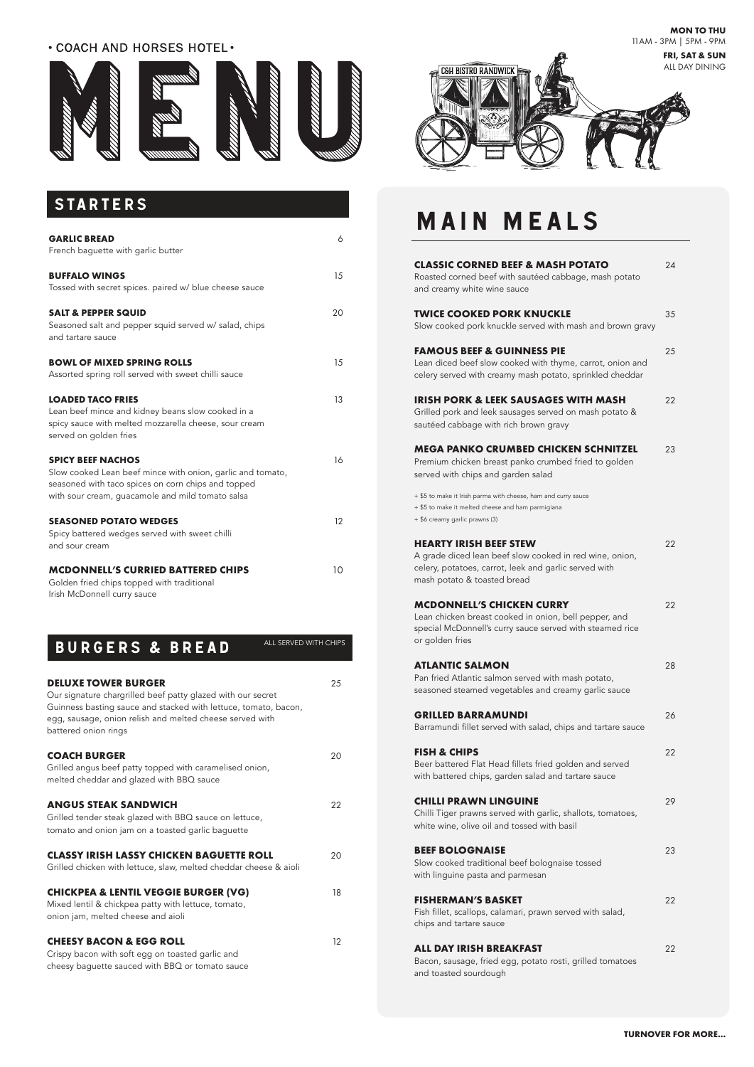# STARTERS

# MAIN MEALS

| <b>GARLIC BREAD</b><br>French baguette with garlic butter                                                                                                                                        | 6  |
|--------------------------------------------------------------------------------------------------------------------------------------------------------------------------------------------------|----|
| <b>BUFFALO WINGS</b><br>Tossed with secret spices. paired w/ blue cheese sauce                                                                                                                   | 15 |
| <b>SALT &amp; PEPPER SQUID</b><br>Seasoned salt and pepper squid served w/ salad, chips<br>and tartare sauce                                                                                     | 20 |
| <b>BOWL OF MIXED SPRING ROLLS</b>                                                                                                                                                                | 15 |
| Assorted spring roll served with sweet chilli sauce                                                                                                                                              |    |
| <b>LOADED TACO FRIES</b><br>Lean beef mince and kidney beans slow cooked in a<br>spicy sauce with melted mozzarella cheese, sour cream<br>served on golden fries                                 | 13 |
| <b>SPICY BEEF NACHOS</b><br>Slow cooked Lean beef mince with onion, garlic and tomato,<br>seasoned with taco spices on corn chips and topped<br>with sour cream, guacamole and mild tomato salsa | 16 |
| <b>SEASONED POTATO WEDGES</b><br>Spicy battered wedges served with sweet chilli<br>and sour cream                                                                                                | 12 |
| <b>MCDONNELL'S CURRIED BATTERED CHIPS</b><br>Golden fried chips topped with traditional                                                                                                          | 10 |

Irish McDonnell curry sauce

# BURGERS & BREAD

| IBURGERS & BREAD           | ALL SERVED WITH CHIPS |
|----------------------------|-----------------------|
| <b>DELUXE TOWER BURGER</b> |                       |

### Our signature chargrilled beef patty glazed with our secret Guinness basting sauce and stacked with lettuce, tomato, bacon, egg, sausage, onion relish and melted cheese served with

battered onion rings

### **COACH BURGER** 20

Grilled angus beef patty topped with caramelised onion, melted cheddar and glazed with BBQ sauce

### **ANGUS STEAK SANDWICH** 22

Grilled tender steak glazed with BBQ sauce on lettuce, tomato and onion jam on a toasted garlic baguette

### **CLASSY IRISH LASSY CHICKEN BAGUETTE ROLL** 20

Grilled chicken with lettuce, slaw, melted cheddar cheese & aioli

#### **CHICKPEA & LENTIL VEGGIE BURGER (VG)** 18

Mixed lentil & chickpea patty with lettuce, tomato, onion jam, melted cheese and aioli

Crispy bacon with soft egg on toasted garlic and cheesy baguette sauced with BBQ or tomato sauce

### **CHEESY BACON & EGG ROLL** 12

| <b>CLASSIC CORNED BEEF &amp; MASH POTATO</b><br>Roasted corned beef with sautéed cabbage, mash potato<br>and creamy white wine sauce                                             | 24 |
|----------------------------------------------------------------------------------------------------------------------------------------------------------------------------------|----|
| TWICE COOKED PORK KNUCKLE<br>Slow cooked pork knuckle served with mash and brown gravy                                                                                           | 35 |
| <b>FAMOUS BEEF &amp; GUINNESS PIE</b><br>Lean diced beef slow cooked with thyme, carrot, onion and<br>celery served with creamy mash potato, sprinkled cheddar                   | 25 |
| IRISH PORK & LEEK SAUSAGES WITH MASH<br>Grilled pork and leek sausages served on mash potato &<br>sautéed cabbage with rich brown gravy                                          | 22 |
| MEGA PANKO CRUMBED CHICKEN SCHNITZEL<br>Premium chicken breast panko crumbed fried to golden<br>served with chips and garden salad                                               | 23 |
| + \$5 to make it Irish parma with cheese, ham and curry sauce<br>+ \$5 to make it melted cheese and ham parmigiana<br>+ \$6 creamy garlic prawns (3)                             |    |
| <b>HEARTY IRISH BEEF STEW</b><br>A grade diced lean beef slow cooked in red wine, onion,<br>celery, potatoes, carrot, leek and garlic served with<br>mash potato & toasted bread | 22 |
| <b>MCDONNELL'S CHICKEN CURRY</b><br>Lean chicken breast cooked in onion, bell pepper, and<br>special McDonnell's curry sauce served with steamed rice<br>or golden fries         | 22 |
| <b>ATLANTIC SALMON</b><br>Pan fried Atlantic salmon served with mash potato,<br>seasoned steamed vegetables and creamy garlic sauce                                              | 28 |
| <b>GRILLED BARRAMUNDI</b><br>Barramundi fillet served with salad, chips and tartare sauce                                                                                        | 26 |
| <b>FISH &amp; CHIPS</b><br>Beer battered Flat Head fillets fried golden and served<br>with battered chips, garden salad and tartare sauce                                        | 22 |
|                                                                                                                                                                                  |    |

**CHILLI PRAWN LINGUINE** 29

Chilli Tiger prawns served with garlic, shallots, tomatoes, white wine, olive oil and tossed with basil

### **BEEF BOLOGNAISE** 23

Slow cooked traditional beef bolognaise tossed with linguine pasta and parmesan

### **FISHERMAN'S BASKET** 22

Fish fillet, scallops, calamari, prawn served with salad, chips and tartare sauce

#### **ALL DAY IRISH BREAKFAST** 22

Bacon, sausage, fried egg, potato rosti, grilled tomatoes and toasted sourdough

**MON TO THU** 11AM - 3PM | 5PM - 9PM

### **. COACH AND HORSES HOTEL.**





### **TURNOVER FOR MORE...**